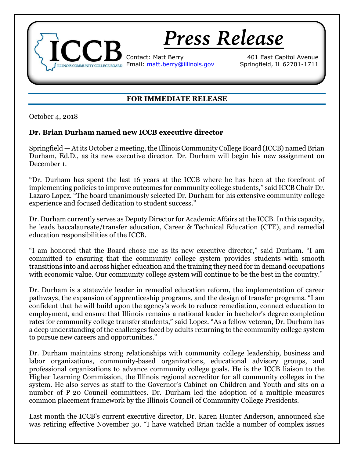

## **FOR IMMEDIATE RELEASE**

October 4, 2018

## **Dr. Brian Durham named new ICCB executive director**

Springfield — At its October 2 meeting, the Illinois Community College Board (ICCB) named Brian Durham, Ed.D., as its new executive director. Dr. Durham will begin his new assignment on December 1.

"Dr. Durham has spent the last 16 years at the ICCB where he has been at the forefront of implementing policies to improve outcomes for community college students," said ICCB Chair Dr. Lazaro Lopez. "The board unanimously selected Dr. Durham for his extensive community college experience and focused dedication to student success."

Dr. Durham currently serves as Deputy Director for Academic Affairs at the ICCB. In this capacity, he leads baccalaureate/transfer education, Career & Technical Education (CTE), and remedial education responsibilities of the ICCB.

"I am honored that the Board chose me as its new executive director," said Durham. "I am committed to ensuring that the community college system provides students with smooth transitions into and across higher education and the training they need for in demand occupations with economic value. Our community college system will continue to be the best in the country."

Dr. Durham is a statewide leader in remedial education reform, the implementation of career pathways, the expansion of apprenticeship programs, and the design of transfer programs. "I am confident that he will build upon the agency's work to reduce remediation, connect education to employment, and ensure that Illinois remains a national leader in bachelor's degree completion rates for community college transfer students," said Lopez. "As a fellow veteran, Dr. Durham has a deep understanding of the challenges faced by adults returning to the community college system to pursue new careers and opportunities."

Dr. Durham maintains strong relationships with community college leadership, business and labor organizations, community-based organizations, educational advisory groups, and professional organizations to advance community college goals. He is the ICCB liaison to the Higher Learning Commission, the Illinois regional accreditor for all community colleges in the system. He also serves as staff to the Governor's Cabinet on Children and Youth and sits on a number of P-20 Council committees. Dr. Durham led the adoption of a multiple measures common placement framework by the Illinois Council of Community College Presidents.

Last month the ICCB's current executive director, Dr. Karen Hunter Anderson, announced she was retiring effective November 30. "I have watched Brian tackle a number of complex issues